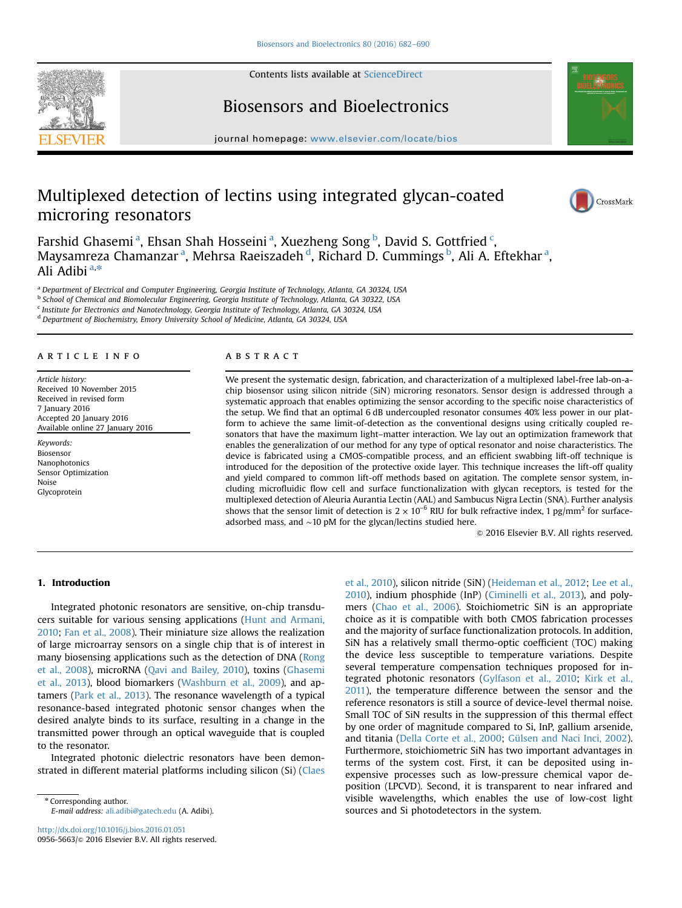Contents lists available at [ScienceDirect](www.sciencedirect.com/science/journal/09565663)





## Biosensors and Bioelectronics

journal homepage: <www.elsevier.com/locate/bios>sections.

# Multiplexed detection of lectins using integrated glycan-coated microring resonators



Farshid Ghasemi<sup>a</sup>, Ehsan Shah Hosseini<sup>a</sup>, Xuezheng Song <sup>b</sup>, David S. Gottfried <sup>c</sup>, Maysamreza Chamanzar <sup>a</sup>, Mehrsa Raeiszadeh <sup>d</sup>, Richard D. Cummings <sup>b</sup>, Ali A. Eftekhar <sup>a</sup>, Ali Adibi<sup>a,\*</sup>

<sup>a</sup> Department of Electrical and Computer Engineering, Georgia Institute of Technology, Atlanta, GA 30324, USA

b School of Chemical and Biomolecular Engineering, Georgia Institute of Technology, Atlanta, GA 30322, USA <sup>c</sup> Institute for Electronics and Nanotechnology, Georgia Institute of Technology, Atlanta, GA 30324, USA

<sup>d</sup> Department of Biochemistry, Emory University School of Medicine, Atlanta, GA 30324, USA

#### article info

Article history: Received 10 November 2015 Received in revised form 7 January 2016 Accepted 20 January 2016 Available online 27 January 2016

Keywords: Biosensor Nanophotonics Sensor Optimization Noise Glycoprotein

## **ABSTRACT**

We present the systematic design, fabrication, and characterization of a multiplexed label-free lab-on-achip biosensor using silicon nitride (SiN) microring resonators. Sensor design is addressed through a systematic approach that enables optimizing the sensor according to the specific noise characteristics of the setup. We find that an optimal 6 dB undercoupled resonator consumes 40% less power in our platform to achieve the same limit-of-detection as the conventional designs using critically coupled resonators that have the maximum light–matter interaction. We lay out an optimization framework that enables the generalization of our method for any type of optical resonator and noise characteristics. The device is fabricated using a CMOS-compatible process, and an efficient swabbing lift-off technique is introduced for the deposition of the protective oxide layer. This technique increases the lift-off quality and yield compared to common lift-off methods based on agitation. The complete sensor system, including microfluidic flow cell and surface functionalization with glycan receptors, is tested for the multiplexed detection of Aleuria Aurantia Lectin (AAL) and Sambucus Nigra Lectin (SNA). Further analysis shows that the sensor limit of detection is  $2 \times 10^{-6}$  RIU for bulk refractive index, 1 pg/mm<sup>2</sup> for surfaceadsorbed mass, and ∼10 pM for the glycan/lectins studied here.

 $\odot$  2016 Elsevier B.V. All rights reserved.

## 1. Introduction

Integrated photonic resonators are sensitive, on-chip transducers suitable for various sensing applications ([Hunt and Armani,](#page-7-0) [2010;](#page-7-0) [Fan et al., 2008\)](#page-7-0). Their miniature size allows the realization of large microarray sensors on a single chip that is of interest in many biosensing applications such as the detection of DNA ([Rong](#page-7-0) [et al., 2008\)](#page-7-0), microRNA [\(Qavi and Bailey, 2010\)](#page-7-0), toxins ([Ghasemi](#page-7-0) [et al., 2013\)](#page-7-0), blood biomarkers [\(Washburn et al., 2009](#page-8-0)), and aptamers ([Park et al., 2013](#page-7-0)). The resonance wavelength of a typical resonance-based integrated photonic sensor changes when the desired analyte binds to its surface, resulting in a change in the transmitted power through an optical waveguide that is coupled to the resonator.

Integrated photonic dielectric resonators have been demonstrated in different material platforms including silicon (Si) [\(Claes](#page-7-0)

\* Corresponding author. E-mail address: [ali.adibi@gatech.edu](mailto:ali.adibi@gatech.edu) (A. Adibi). [et al., 2010\)](#page-7-0), silicon nitride (SiN) [\(Heideman et al., 2012;](#page-7-0) [Lee et al.,](#page-7-0) [2010\)](#page-7-0), indium phosphide (InP) ([Ciminelli et al., 2013](#page-7-0)), and polymers [\(Chao et al., 2006\)](#page-7-0). Stoichiometric SiN is an appropriate choice as it is compatible with both CMOS fabrication processes and the majority of surface functionalization protocols. In addition, SiN has a relatively small thermo-optic coefficient (TOC) making the device less susceptible to temperature variations. Despite several temperature compensation techniques proposed for integrated photonic resonators [\(Gylfason et al., 2010;](#page-7-0) [Kirk et al.,](#page-7-0) [2011\)](#page-7-0), the temperature difference between the sensor and the reference resonators is still a source of device-level thermal noise. Small TOC of SiN results in the suppression of this thermal effect by one order of magnitude compared to Si, InP, gallium arsenide, and titania [\(Della Corte et al., 2000](#page-7-0); [Gülsen and Naci Inci, 2002\)](#page-7-0). Furthermore, stoichiometric SiN has two important advantages in terms of the system cost. First, it can be deposited using inexpensive processes such as low-pressure chemical vapor deposition (LPCVD). Second, it is transparent to near infrared and visible wavelengths, which enables the use of low-cost light sources and Si photodetectors in the system.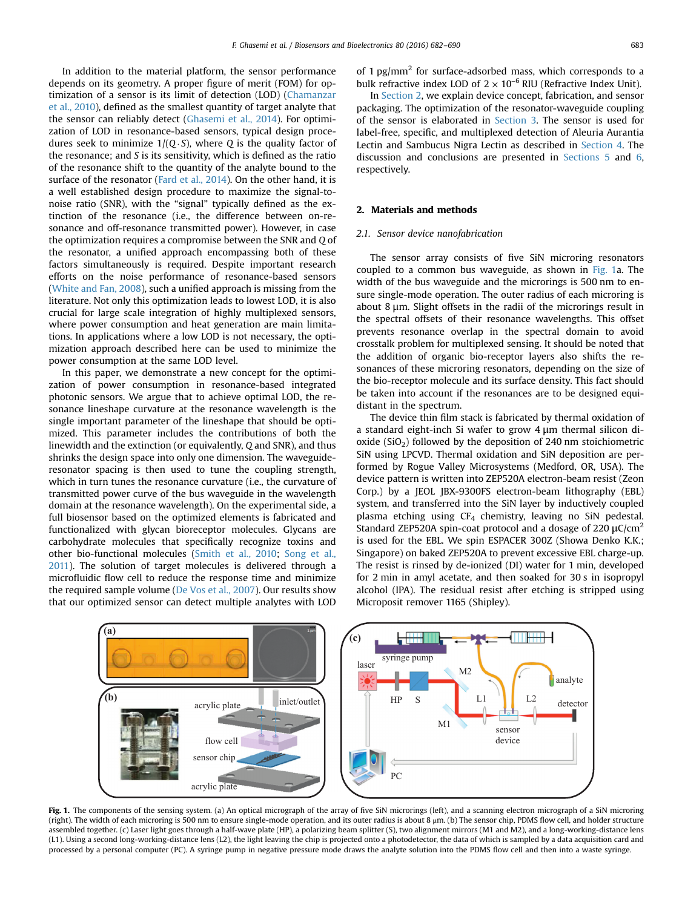<span id="page-1-0"></span>In addition to the material platform, the sensor performance depends on its geometry. A proper figure of merit (FOM) for optimization of a sensor is its limit of detection (LOD) ([Chamanzar](#page-7-0) [et al., 2010](#page-7-0)), defined as the smallest quantity of target analyte that the sensor can reliably detect [\(Ghasemi et al., 2014\)](#page-7-0). For optimization of LOD in resonance-based sensors, typical design procedures seek to minimize  $1/(Q \cdot S)$ , where Q is the quality factor of the resonance; and S is its sensitivity, which is defined as the ratio of the resonance shift to the quantity of the analyte bound to the surface of the resonator [\(Fard et al., 2014\)](#page-7-0). On the other hand, it is a well established design procedure to maximize the signal-tonoise ratio (SNR), with the "signal" typically defined as the extinction of the resonance (i.e., the difference between on-resonance and off-resonance transmitted power). However, in case the optimization requires a compromise between the SNR and Q of the resonator, a unified approach encompassing both of these factors simultaneously is required. Despite important research efforts on the noise performance of resonance-based sensors ([White and Fan, 2008](#page-8-0)), such a unified approach is missing from the literature. Not only this optimization leads to lowest LOD, it is also crucial for large scale integration of highly multiplexed sensors, where power consumption and heat generation are main limitations. In applications where a low LOD is not necessary, the optimization approach described here can be used to minimize the power consumption at the same LOD level.

In this paper, we demonstrate a new concept for the optimization of power consumption in resonance-based integrated photonic sensors. We argue that to achieve optimal LOD, the resonance lineshape curvature at the resonance wavelength is the single important parameter of the lineshape that should be optimized. This parameter includes the contributions of both the linewidth and the extinction (or equivalently, Q and SNR), and thus shrinks the design space into only one dimension. The waveguideresonator spacing is then used to tune the coupling strength, which in turn tunes the resonance curvature (i.e., the curvature of transmitted power curve of the bus waveguide in the wavelength domain at the resonance wavelength). On the experimental side, a full biosensor based on the optimized elements is fabricated and functionalized with glycan bioreceptor molecules. Glycans are carbohydrate molecules that specifically recognize toxins and other bio-functional molecules [\(Smith et al., 2010;](#page-7-0) [Song et al.,](#page-8-0) [2011](#page-8-0)). The solution of target molecules is delivered through a microfluidic flow cell to reduce the response time and minimize the required sample volume ([De Vos et al., 2007\)](#page-7-0). Our results show that our optimized sensor can detect multiple analytes with LOD

of 1  $pg/mm<sup>2</sup>$  for surface-adsorbed mass, which corresponds to a bulk refractive index LOD of  $2 \times 10^{-6}$  RIU (Refractive Index Unit).

In Section 2, we explain device concept, fabrication, and sensor packaging. The optimization of the resonator-waveguide coupling of the sensor is elaborated in [Section 3.](#page-3-0) The sensor is used for label-free, specific, and multiplexed detection of Aleuria Aurantia Lectin and Sambucus Nigra Lectin as described in [Section 4.](#page-4-0) The discussion and conclusions are presented in [Sections 5](#page-6-0) and [6,](#page-7-0) respectively.

## 2. Materials and methods

#### 2.1. Sensor device nanofabrication

The sensor array consists of five SiN microring resonators coupled to a common bus waveguide, as shown in Fig. 1a. The width of the bus waveguide and the microrings is 500 nm to ensure single-mode operation. The outer radius of each microring is about 8 μm. Slight offsets in the radii of the microrings result in the spectral offsets of their resonance wavelengths. This offset prevents resonance overlap in the spectral domain to avoid crosstalk problem for multiplexed sensing. It should be noted that the addition of organic bio-receptor layers also shifts the resonances of these microring resonators, depending on the size of the bio-receptor molecule and its surface density. This fact should be taken into account if the resonances are to be designed equidistant in the spectrum.

The device thin film stack is fabricated by thermal oxidation of a standard eight-inch Si wafer to grow 4 μm thermal silicon dioxide  $(SiO<sub>2</sub>)$  followed by the deposition of 240 nm stoichiometric SiN using LPCVD. Thermal oxidation and SiN deposition are performed by Rogue Valley Microsystems (Medford, OR, USA). The device pattern is written into ZEP520A electron-beam resist (Zeon Corp.) by a JEOL JBX-9300FS electron-beam lithography (EBL) system, and transferred into the SiN layer by inductively coupled plasma etching using  $CF_4$  chemistry, leaving no SiN pedestal. Standard ZEP520A spin-coat protocol and a dosage of 220  $\mu$ C/cm<sup>2</sup> is used for the EBL. We spin ESPACER 300Z (Showa Denko K.K.; Singapore) on baked ZEP520A to prevent excessive EBL charge-up. The resist is rinsed by de-ionized (DI) water for 1 min, developed for 2 min in amyl acetate, and then soaked for 30 s in isopropyl alcohol (IPA). The residual resist after etching is stripped using Microposit remover 1165 (Shipley).



Fig. 1. The components of the sensing system. (a) An optical micrograph of the array of five SiN microrings (left), and a scanning electron micrograph of a SiN microring (right). The width of each microring is 500 nm to ensure single-mode operation, and its outer radius is about 8 μm. (b) The sensor chip, PDMS flow cell, and holder structure assembled together. (c) Laser light goes through a half-wave plate (HP), a polarizing beam splitter (S), two alignment mirrors (M1 and M2), and a long-working-distance lens (L1). Using a second long-working-distance lens (L2), the light leaving the chip is projected onto a photodetector, the data of which is sampled by a data acquisition card and processed by a personal computer (PC). A syringe pump in negative pressure mode draws the analyte solution into the PDMS flow cell and then into a waste syringe.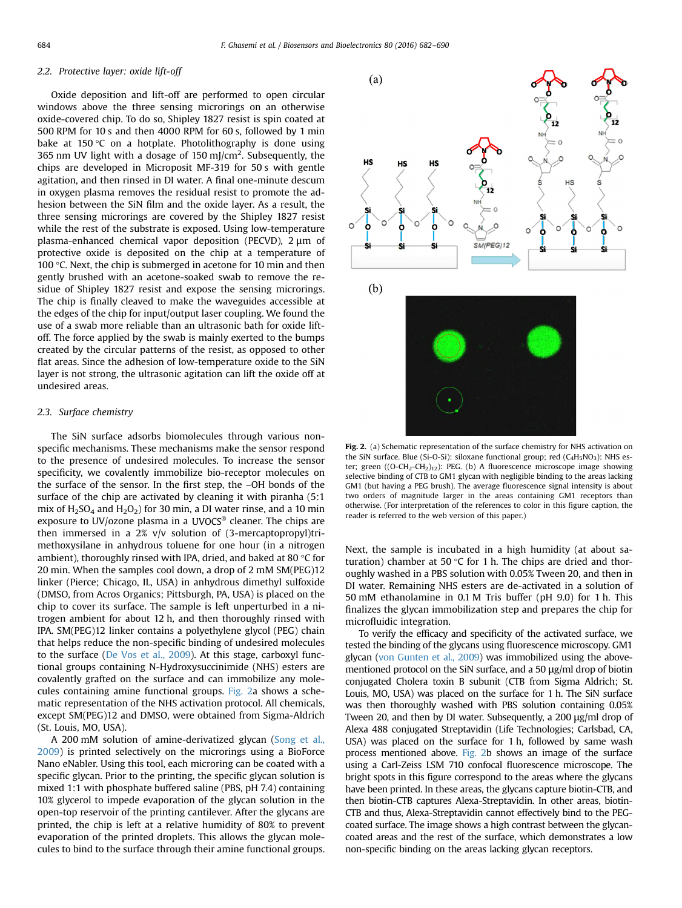## <span id="page-2-0"></span>2.2. Protective layer: oxide lift-off

Oxide deposition and lift-off are performed to open circular windows above the three sensing microrings on an otherwise oxide-covered chip. To do so, Shipley 1827 resist is spin coated at 500 RPM for 10 s and then 4000 RPM for 60 s, followed by 1 min bake at 150 $\degree$ C on a hotplate. Photolithography is done using 365 nm UV light with a dosage of 150 mJ/cm<sup>2</sup>. Subsequently, the chips are developed in Microposit MF-319 for 50 s with gentle agitation, and then rinsed in DI water. A final one-minute descum in oxygen plasma removes the residual resist to promote the adhesion between the SiN film and the oxide layer. As a result, the three sensing microrings are covered by the Shipley 1827 resist while the rest of the substrate is exposed. Using low-temperature plasma-enhanced chemical vapor deposition (PECVD), 2 μm of protective oxide is deposited on the chip at a temperature of 100 °C. Next, the chip is submerged in acetone for 10 min and then gently brushed with an acetone-soaked swab to remove the residue of Shipley 1827 resist and expose the sensing microrings. The chip is finally cleaved to make the waveguides accessible at the edges of the chip for input/output laser coupling. We found the use of a swab more reliable than an ultrasonic bath for oxide liftoff. The force applied by the swab is mainly exerted to the bumps created by the circular patterns of the resist, as opposed to other flat areas. Since the adhesion of low-temperature oxide to the SiN layer is not strong, the ultrasonic agitation can lift the oxide off at undesired areas.

#### 2.3. Surface chemistry

The SiN surface adsorbs biomolecules through various nonspecific mechanisms. These mechanisms make the sensor respond to the presence of undesired molecules. To increase the sensor specificity, we covalently immobilize bio-receptor molecules on the surface of the sensor. In the first step, the –OH bonds of the surface of the chip are activated by cleaning it with piranha (5:1 mix of  $H_2SO_4$  and  $H_2O_2$ ) for 30 min, a DI water rinse, and a 10 min exposure to UV/ozone plasma in a UVOCS® cleaner. The chips are then immersed in a 2% v/v solution of (3-mercaptopropyl)trimethoxysilane in anhydrous toluene for one hour (in a nitrogen ambient), thoroughly rinsed with IPA, dried, and baked at 80 °C for 20 min. When the samples cool down, a drop of 2 mM SM(PEG)12 linker (Pierce; Chicago, IL, USA) in anhydrous dimethyl sulfoxide (DMSO, from Acros Organics; Pittsburgh, PA, USA) is placed on the chip to cover its surface. The sample is left unperturbed in a nitrogen ambient for about 12 h, and then thoroughly rinsed with IPA. SM(PEG)12 linker contains a polyethylene glycol (PEG) chain that helps reduce the non-specific binding of undesired molecules to the surface [\(De Vos et al., 2009\)](#page-7-0). At this stage, carboxyl functional groups containing N-Hydroxysuccinimide (NHS) esters are covalently grafted on the surface and can immobilize any molecules containing amine functional groups. Fig. 2a shows a schematic representation of the NHS activation protocol. All chemicals, except SM(PEG)12 and DMSO, were obtained from Sigma-Aldrich (St. Louis, MO, USA).

A 200 mM solution of amine-derivatized glycan ([Song et al.,](#page-8-0) [2009\)](#page-8-0) is printed selectively on the microrings using a BioForce Nano eNabler. Using this tool, each microring can be coated with a specific glycan. Prior to the printing, the specific glycan solution is mixed 1:1 with phosphate buffered saline (PBS, pH 7.4) containing 10% glycerol to impede evaporation of the glycan solution in the open-top reservoir of the printing cantilever. After the glycans are printed, the chip is left at a relative humidity of 80% to prevent evaporation of the printed droplets. This allows the glycan molecules to bind to the surface through their amine functional groups.



Fig. 2. (a) Schematic representation of the surface chemistry for NHS activation on the SiN surface. Blue (Si-O-Si): siloxane functional group; red  $(C_4H_5NO_3)$ : NHS ester; green ( $(O-CH_2-CH_2)_{12}$ ): PEG. (b) A fluorescence microscope image showing selective binding of CTB to GM1 glycan with negligible binding to the areas lacking GM1 (but having a PEG brush). The average fluorescence signal intensity is about two orders of magnitude larger in the areas containing GM1 receptors than otherwise. (For interpretation of the references to color in this figure caption, the reader is referred to the web version of this paper.)

Next, the sample is incubated in a high humidity (at about saturation) chamber at 50  $\degree$ C for 1 h. The chips are dried and thoroughly washed in a PBS solution with 0.05% Tween 20, and then in DI water. Remaining NHS esters are de-activated in a solution of 50 mM ethanolamine in 0.1 M Tris buffer (pH 9.0) for 1 h. This finalizes the glycan immobilization step and prepares the chip for microfluidic integration.

To verify the efficacy and specificity of the activated surface, we tested the binding of the glycans using fluorescence microscopy. GM1 glycan ([von Gunten et al., 2009\)](#page-8-0) was immobilized using the abovementioned protocol on the SiN surface, and a 50 μg/ml drop of biotin conjugated Cholera toxin B subunit (CTB from Sigma Aldrich; St. Louis, MO, USA) was placed on the surface for 1 h. The SiN surface was then thoroughly washed with PBS solution containing 0.05% Tween 20, and then by DI water. Subsequently, a 200 μg/ml drop of Alexa 488 conjugated Streptavidin (Life Technologies; Carlsbad, CA, USA) was placed on the surface for 1 h, followed by same wash process mentioned above. Fig. 2b shows an image of the surface using a Carl-Zeiss LSM 710 confocal fluorescence microscope. The bright spots in this figure correspond to the areas where the glycans have been printed. In these areas, the glycans capture biotin-CTB, and then biotin-CTB captures Alexa-Streptavidin. In other areas, biotin-CTB and thus, Alexa-Streptavidin cannot effectively bind to the PEGcoated surface. The image shows a high contrast between the glycancoated areas and the rest of the surface, which demonstrates a low non-specific binding on the areas lacking glycan receptors.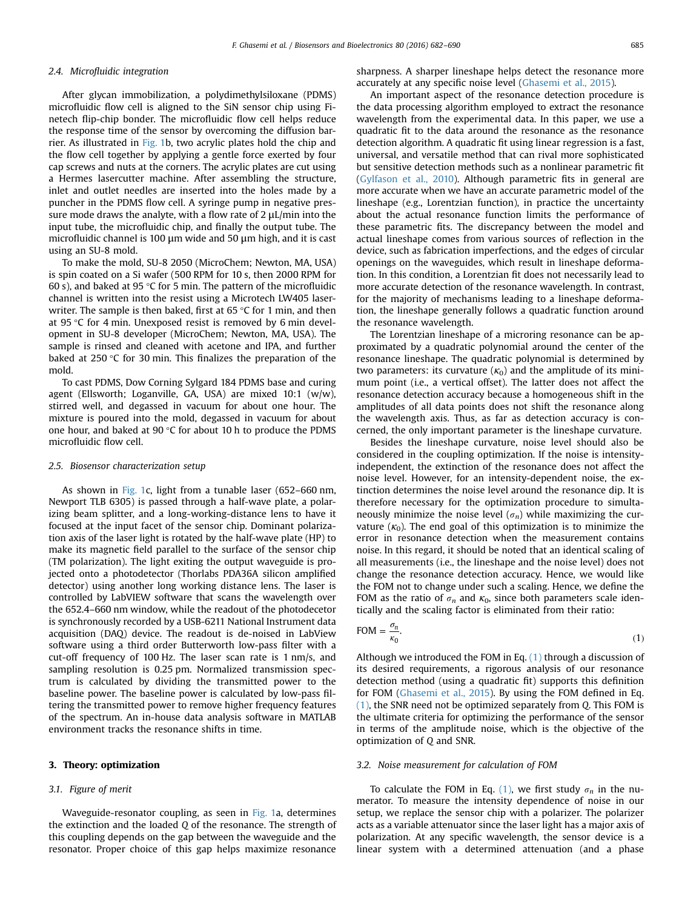## <span id="page-3-0"></span>2.4. Microfluidic integration

After glycan immobilization, a polydimethylsiloxane (PDMS) microfluidic flow cell is aligned to the SiN sensor chip using Finetech flip-chip bonder. The microfluidic flow cell helps reduce the response time of the sensor by overcoming the diffusion barrier. As illustrated in [Fig. 1b](#page-1-0), two acrylic plates hold the chip and the flow cell together by applying a gentle force exerted by four cap screws and nuts at the corners. The acrylic plates are cut using a Hermes lasercutter machine. After assembling the structure, inlet and outlet needles are inserted into the holes made by a puncher in the PDMS flow cell. A syringe pump in negative pressure mode draws the analyte, with a flow rate of 2 μL/min into the input tube, the microfluidic chip, and finally the output tube. The microfluidic channel is 100 μm wide and 50 μm high, and it is cast using an SU-8 mold.

To make the mold, SU-8 2050 (MicroChem; Newton, MA, USA) is spin coated on a Si wafer (500 RPM for 10 s, then 2000 RPM for 60 s), and baked at 95 °C for 5 min. The pattern of the microfluidic channel is written into the resist using a Microtech LW405 laserwriter. The sample is then baked, first at 65 °C for 1 min, and then at 95 °C for 4 min. Unexposed resist is removed by 6 min development in SU-8 developer (MicroChem; Newton, MA, USA). The sample is rinsed and cleaned with acetone and IPA, and further baked at 250 °C for 30 min. This finalizes the preparation of the mold.

To cast PDMS, Dow Corning Sylgard 184 PDMS base and curing agent (Ellsworth; Loganville, GA, USA) are mixed 10:1 (w/w), stirred well, and degassed in vacuum for about one hour. The mixture is poured into the mold, degassed in vacuum for about one hour, and baked at 90 °C for about 10 h to produce the PDMS microfluidic flow cell.

#### 2.5. Biosensor characterization setup

As shown in [Fig. 1](#page-1-0)c, light from a tunable laser (652–660 nm, Newport TLB 6305) is passed through a half-wave plate, a polarizing beam splitter, and a long-working-distance lens to have it focused at the input facet of the sensor chip. Dominant polarization axis of the laser light is rotated by the half-wave plate (HP) to make its magnetic field parallel to the surface of the sensor chip (TM polarization). The light exiting the output waveguide is projected onto a photodetector (Thorlabs PDA36A silicon amplified detector) using another long working distance lens. The laser is controlled by LabVIEW software that scans the wavelength over the 652.4–660 nm window, while the readout of the photodecetor is synchronously recorded by a USB-6211 National Instrument data acquisition (DAQ) device. The readout is de-noised in LabView software using a third order Butterworth low-pass filter with a cut-off frequency of 100 Hz. The laser scan rate is 1 nm/s, and sampling resolution is 0.25 pm. Normalized transmission spectrum is calculated by dividing the transmitted power to the baseline power. The baseline power is calculated by low-pass filtering the transmitted power to remove higher frequency features of the spectrum. An in-house data analysis software in MATLAB environment tracks the resonance shifts in time.

## 3. Theory: optimization

#### 3.1. Figure of merit

Waveguide-resonator coupling, as seen in [Fig. 1](#page-1-0)a, determines the extinction and the loaded Q of the resonance. The strength of this coupling depends on the gap between the waveguide and the resonator. Proper choice of this gap helps maximize resonance sharpness. A sharper lineshape helps detect the resonance more accurately at any specific noise level [\(Ghasemi et al., 2015\)](#page-7-0).

An important aspect of the resonance detection procedure is the data processing algorithm employed to extract the resonance wavelength from the experimental data. In this paper, we use a quadratic fit to the data around the resonance as the resonance detection algorithm. A quadratic fit using linear regression is a fast, universal, and versatile method that can rival more sophisticated but sensitive detection methods such as a nonlinear parametric fit ([Gylfason et al., 2010](#page-7-0)). Although parametric fits in general are more accurate when we have an accurate parametric model of the lineshape (e.g., Lorentzian function), in practice the uncertainty about the actual resonance function limits the performance of these parametric fits. The discrepancy between the model and actual lineshape comes from various sources of reflection in the device, such as fabrication imperfections, and the edges of circular openings on the waveguides, which result in lineshape deformation. In this condition, a Lorentzian fit does not necessarily lead to more accurate detection of the resonance wavelength. In contrast, for the majority of mechanisms leading to a lineshape deformation, the lineshape generally follows a quadratic function around the resonance wavelength.

The Lorentzian lineshape of a microring resonance can be approximated by a quadratic polynomial around the center of the resonance lineshape. The quadratic polynomial is determined by two parameters: its curvature  $(\kappa_0)$  and the amplitude of its minimum point (i.e., a vertical offset). The latter does not affect the resonance detection accuracy because a homogeneous shift in the amplitudes of all data points does not shift the resonance along the wavelength axis. Thus, as far as detection accuracy is concerned, the only important parameter is the lineshape curvature.

Besides the lineshape curvature, noise level should also be considered in the coupling optimization. If the noise is intensityindependent, the extinction of the resonance does not affect the noise level. However, for an intensity-dependent noise, the extinction determines the noise level around the resonance dip. It is therefore necessary for the optimization procedure to simultaneously minimize the noise level  $(\sigma_n)$  while maximizing the curvature  $(\kappa_0)$ . The end goal of this optimization is to minimize the error in resonance detection when the measurement contains noise. In this regard, it should be noted that an identical scaling of all measurements (i.e., the lineshape and the noise level) does not change the resonance detection accuracy. Hence, we would like the FOM not to change under such a scaling. Hence, we define the FOM as the ratio of  $\sigma_n$  and  $\kappa_0$ , since both parameters scale identically and the scaling factor is eliminated from their ratio:

$$
\text{FOM} = \frac{\sigma_n}{\kappa_0}.\tag{1}
$$

Although we introduced the FOM in Eq.  $(1)$  through a discussion of its desired requirements, a rigorous analysis of our resonance detection method (using a quadratic fit) supports this definition for FOM [\(Ghasemi et al., 2015\)](#page-7-0). By using the FOM defined in Eq. (1), the SNR need not be optimized separately from Q. This FOM is the ultimate criteria for optimizing the performance of the sensor in terms of the amplitude noise, which is the objective of the optimization of Q and SNR.

#### 3.2. Noise measurement for calculation of FOM

To calculate the FOM in Eq. (1), we first study  $\sigma_n$  in the numerator. To measure the intensity dependence of noise in our setup, we replace the sensor chip with a polarizer. The polarizer acts as a variable attenuator since the laser light has a major axis of polarization. At any specific wavelength, the sensor device is a linear system with a determined attenuation (and a phase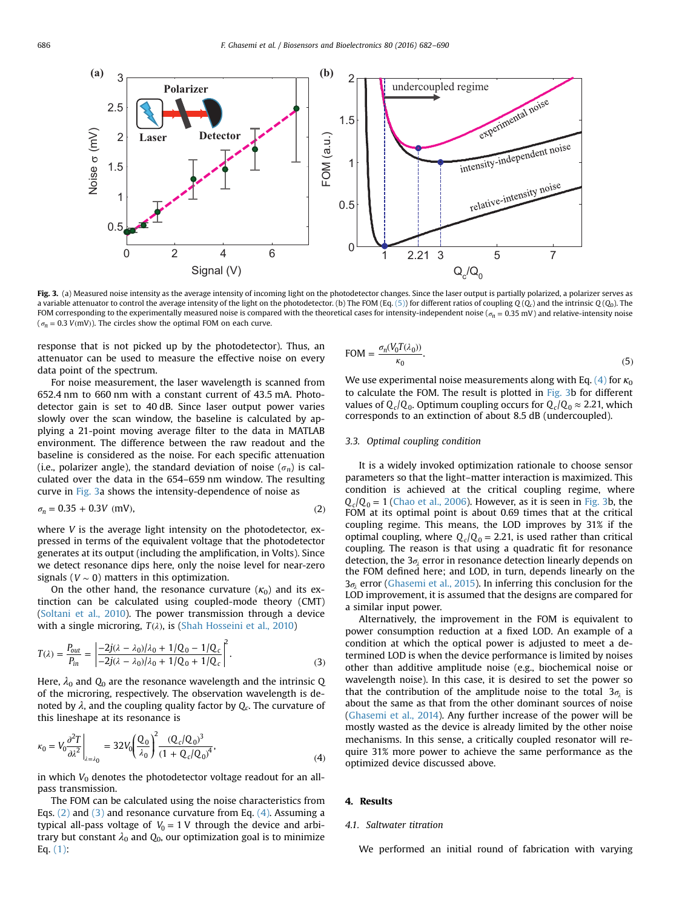<span id="page-4-0"></span>

Fig. 3. (a) Measured noise intensity as the average intensity of incoming light on the photodetector changes. Since the laser output is partially polarized, a polarizer serves as a variable attenuator to control the average intensity of the light on the photodetector. (b) The FOM (Eq. (5)) for different ratios of coupling Q(Q<sub>c</sub>) and the intrinsic Q(Q<sub>0</sub>). The FOM corresponding to the experimentally measured noise is compared with the theoretical cases for intensity-independent noise (*σ<sup>n</sup>* = 0.35 mV) and relative-intensity noise ( $\sigma_n = 0.3$  *V*(mV)). The circles show the optimal FOM on each curve.

response that is not picked up by the photodetector). Thus, an attenuator can be used to measure the effective noise on every data point of the spectrum.

For noise measurement, the laser wavelength is scanned from 652.4 nm to 660 nm with a constant current of 43.5 mA. Photodetector gain is set to 40 dB. Since laser output power varies slowly over the scan window, the baseline is calculated by applying a 21-point moving average filter to the data in MATLAB environment. The difference between the raw readout and the baseline is considered as the noise. For each specific attenuation (i.e., polarizer angle), the standard deviation of noise  $(\sigma_n)$  is calculated over the data in the 654–659 nm window. The resulting curve in Fig. 3a shows the intensity-dependence of noise as

$$
\sigma_n = 0.35 + 0.3V \text{ (mV)},\tag{2}
$$

where *V* is the average light intensity on the photodetector, expressed in terms of the equivalent voltage that the photodetector generates at its output (including the amplification, in Volts). Since we detect resonance dips here, only the noise level for near-zero signals ( $V \sim 0$ ) matters in this optimization.

On the other hand, the resonance curvature  $(\kappa_0)$  and its extinction can be calculated using coupled-mode theory (CMT) ([Soltani et al., 2010\)](#page-7-0). The power transmission through a device with a single microring, *T*(*λ*), is ([Shah Hosseini et al., 2010\)](#page-7-0)

$$
T(\lambda) = \frac{P_{out}}{P_{in}} = \left| \frac{-2j(\lambda - \lambda_0)/\lambda_0 + 1/Q_0 - 1/Q_c}{-2j(\lambda - \lambda_0)/\lambda_0 + 1/Q_0 + 1/Q_c} \right|^2.
$$
 (3)

Here,  $\lambda_0$  and  $Q_0$  are the resonance wavelength and the intrinsic Q of the microring, respectively. The observation wavelength is denoted by  $\lambda$ , and the coupling quality factor by  $Q_c$ . The curvature of this lineshape at its resonance is

$$
\kappa_0 = V_0 \frac{\partial^2 T}{\partial \lambda^2} \bigg|_{\lambda = \lambda_0} = 32 V_0 \bigg( \frac{Q_0}{\lambda_0} \bigg)^2 \frac{(Q_c/Q_0)^3}{(1 + Q_c/Q_0)^4},\tag{4}
$$

in which  $V_0$  denotes the photodetector voltage readout for an allpass transmission.

The FOM can be calculated using the noise characteristics from Eqs. (2) and (3) and resonance curvature from Eq. (4). Assuming a typical all-pass voltage of  $V_0 = 1$  V through the device and arbitrary but constant  $\lambda_0$  and  $Q_0$ , our optimization goal is to minimize Eq. [\(1\):](#page-3-0)

$$
\text{FOM} = \frac{\sigma_n (V_0 T(\lambda_0))}{\kappa_0}.
$$
\n<sup>(5)</sup>

We use experimental noise measurements along with Eq. (4) for  $\kappa_0$ to calculate the FOM. The result is plotted in Fig. 3b for different values of  $Q_c/Q_0$ . Optimum coupling occurs for  $Q_c/Q_0 \approx 2.21$ , which corresponds to an extinction of about 8.5 dB (undercoupled).

## 3.3. Optimal coupling condition

It is a widely invoked optimization rationale to choose sensor parameters so that the light–matter interaction is maximized. This condition is achieved at the critical coupling regime, where  $Q_c/Q_0 = 1$  ([Chao et al., 2006\)](#page-7-0). However, as it is seen in Fig. 3b, the FOM at its optimal point is about 0.69 times that at the critical coupling regime. This means, the LOD improves by 31% if the optimal coupling, where  $Q_c/Q_0 = 2.21$ , is used rather than critical coupling. The reason is that using a quadratic fit for resonance detection, the 3<sub>σ<sub>2</sub></sub> error in resonance detection linearly depends on the FOM defined here; and LOD, in turn, depends linearly on the *σ*3 *<sup>λ</sup>* error ([Ghasemi et al., 2015](#page-7-0)). In inferring this conclusion for the LOD improvement, it is assumed that the designs are compared for a similar input power.

Alternatively, the improvement in the FOM is equivalent to power consumption reduction at a fixed LOD. An example of a condition at which the optical power is adjusted to meet a determined LOD is when the device performance is limited by noises other than additive amplitude noise (e.g., biochemical noise or wavelength noise). In this case, it is desired to set the power so that the contribution of the amplitude noise to the total  $3\sigma_i$  is about the same as that from the other dominant sources of noise ([Ghasemi et al., 2014](#page-7-0)). Any further increase of the power will be mostly wasted as the device is already limited by the other noise mechanisms. In this sense, a critically coupled resonator will require 31% more power to achieve the same performance as the optimized device discussed above.

#### 4. Results

#### 4.1. Saltwater titration

We performed an initial round of fabrication with varying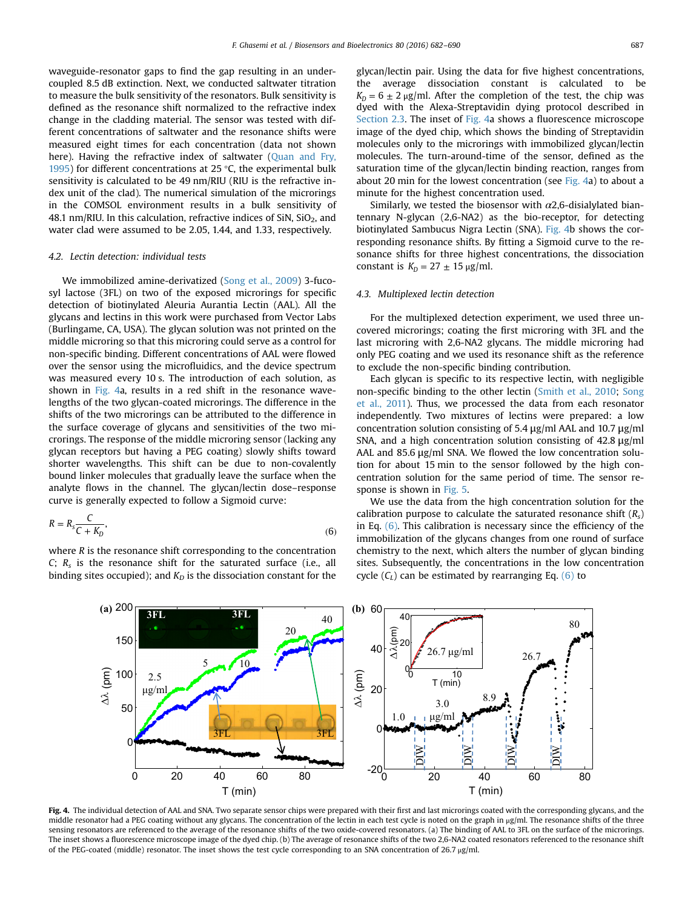<span id="page-5-0"></span>waveguide-resonator gaps to find the gap resulting in an undercoupled 8.5 dB extinction. Next, we conducted saltwater titration to measure the bulk sensitivity of the resonators. Bulk sensitivity is defined as the resonance shift normalized to the refractive index change in the cladding material. The sensor was tested with different concentrations of saltwater and the resonance shifts were measured eight times for each concentration (data not shown here). Having the refractive index of saltwater ([Quan and Fry,](#page-7-0) [1995](#page-7-0)) for different concentrations at 25  $\degree$ C, the experimental bulk sensitivity is calculated to be 49 nm/RIU (RIU is the refractive index unit of the clad). The numerical simulation of the microrings in the COMSOL environment results in a bulk sensitivity of 48.1 nm/RIU. In this calculation, refractive indices of SiN,  $SiO<sub>2</sub>$ , and water clad were assumed to be 2.05, 1.44, and 1.33, respectively.

#### 4.2. Lectin detection: individual tests

We immobilized amine-derivatized ([Song et al., 2009\)](#page-8-0) 3-fucosyl lactose (3FL) on two of the exposed microrings for specific detection of biotinylated Aleuria Aurantia Lectin (AAL). All the glycans and lectins in this work were purchased from Vector Labs (Burlingame, CA, USA). The glycan solution was not printed on the middle microring so that this microring could serve as a control for non-specific binding. Different concentrations of AAL were flowed over the sensor using the microfluidics, and the device spectrum was measured every 10 s. The introduction of each solution, as shown in Fig. 4a, results in a red shift in the resonance wavelengths of the two glycan-coated microrings. The difference in the shifts of the two microrings can be attributed to the difference in the surface coverage of glycans and sensitivities of the two microrings. The response of the middle microring sensor (lacking any glycan receptors but having a PEG coating) slowly shifts toward shorter wavelengths. This shift can be due to non-covalently bound linker molecules that gradually leave the surface when the analyte flows in the channel. The glycan/lectin dose–response curve is generally expected to follow a Sigmoid curve:

$$
R = R_s \frac{C}{C + K_D},\tag{6}
$$

where R is the resonance shift corresponding to the concentration  $C$ ;  $R_s$  is the resonance shift for the saturated surface (i.e., all binding sites occupied); and  $K<sub>D</sub>$  is the dissociation constant for the glycan/lectin pair. Using the data for five highest concentrations, the average dissociation constant is calculated to be  $K_p = 6 \pm 2 \mu g/ml$ . After the completion of the test, the chip was dyed with the Alexa-Streptavidin dying protocol described in [Section 2.3.](#page-2-0) The inset of Fig. 4a shows a fluorescence microscope image of the dyed chip, which shows the binding of Streptavidin molecules only to the microrings with immobilized glycan/lectin molecules. The turn-around-time of the sensor, defined as the saturation time of the glycan/lectin binding reaction, ranges from about 20 min for the lowest concentration (see  $Fig. 4a$ ) to about a minute for the highest concentration used.

Similarly, we tested the biosensor with  $\alpha$ 2,6-disialylated biantennary N-glycan (2,6-NA2) as the bio-receptor, for detecting biotinylated Sambucus Nigra Lectin (SNA). Fig. 4b shows the corresponding resonance shifts. By fitting a Sigmoid curve to the resonance shifts for three highest concentrations, the dissociation constant is  $K_p = 27 \pm 15 \,\mu\text{g/ml}$ .

## 4.3. Multiplexed lectin detection

For the multiplexed detection experiment, we used three uncovered microrings; coating the first microring with 3FL and the last microring with 2,6-NA2 glycans. The middle microring had only PEG coating and we used its resonance shift as the reference to exclude the non-specific binding contribution.

Each glycan is specific to its respective lectin, with negligible non-specific binding to the other lectin [\(Smith et al., 2010](#page-7-0); [Song](#page-8-0) [et al., 2011](#page-8-0)). Thus, we processed the data from each resonator independently. Two mixtures of lectins were prepared: a low concentration solution consisting of 5.4 μg/ml AAL and 10.7 μg/ml SNA, and a high concentration solution consisting of 42.8 μg/ml AAL and 85.6 μg/ml SNA. We flowed the low concentration solution for about 15 min to the sensor followed by the high concentration solution for the same period of time. The sensor response is shown in [Fig. 5](#page-6-0).

We use the data from the high concentration solution for the calibration purpose to calculate the saturated resonance shift  $(R_s)$ in Eq.  $(6)$ . This calibration is necessary since the efficiency of the immobilization of the glycans changes from one round of surface chemistry to the next, which alters the number of glycan binding sites. Subsequently, the concentrations in the low concentration cycle  $(C<sub>I</sub>)$  can be estimated by rearranging Eq. (6) to



middle resonator had a PEG coating without any glycans. The concentration of the lectin in each test cycle is noted on the graph in μg/ml. The resonance shifts of the three sensing resonators are referenced to the average of the resonance shifts of the two oxide-covered resonators. (a) The binding of AAL to 3FL on the surface of the microrings. The inset shows a fluorescence microscope image of the dyed chip. (b) The average of resonance shifts of the two 2,6-NA2 coated resonators referenced to the resonance shift of the PEG-coated (middle) resonator. The inset shows the test cycle corresponding to an SNA concentration of 26.7 μg/ml.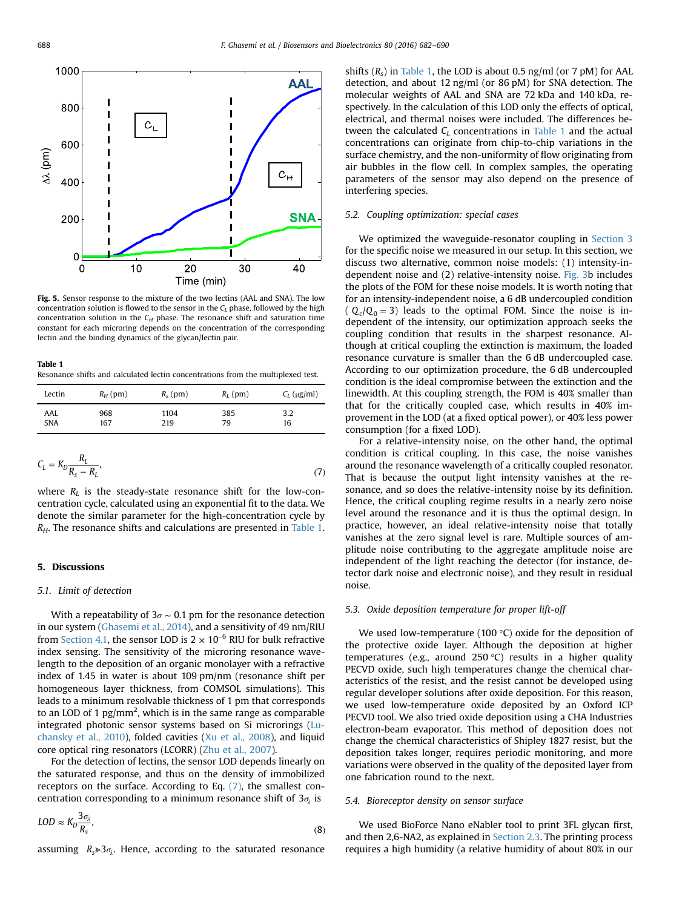<span id="page-6-0"></span>

Fig. 5. Sensor response to the mixture of the two lectins (AAL and SNA). The low concentration solution is flowed to the sensor in the  $C_L$  phase, followed by the high concentration solution in the  $C_H$  phase. The resonance shift and saturation time constant for each microring depends on the concentration of the corresponding lectin and the binding dynamics of the glycan/lectin pair.

#### Table 1

Resonance shifts and calculated lectin concentrations from the multiplexed test.

| Lectin     | $R_H$ (pm) | $R_s$ (pm) | $R_L$ (pm) | $C_L$ (µg/ml) |
|------------|------------|------------|------------|---------------|
| AAL        | 968        | 1104       | 385        | 3.2           |
| <b>SNA</b> | 167        | 219        | 79         | 16            |

$$
C_L = K_D \frac{R_L}{R_s - R_L},\tag{7}
$$

where  $R_L$  is the steady-state resonance shift for the low-concentration cycle, calculated using an exponential fit to the data. We denote the similar parameter for the high-concentration cycle by  $R_H$ . The resonance shifts and calculations are presented in Table 1.

## 5. Discussions

## 5.1. Limit of detection

With a repeatability of  $3\sigma \sim 0.1$  pm for the resonance detection in our system ([Ghasemi et al., 2014\)](#page-7-0), and a sensitivity of 49 nm/RIU from [Section 4.1,](#page-4-0) the sensor LOD is  $2 \times 10^{-6}$  RIU for bulk refractive index sensing. The sensitivity of the microring resonance wavelength to the deposition of an organic monolayer with a refractive index of 1.45 in water is about 109 pm/nm (resonance shift per homogeneous layer thickness, from COMSOL simulations). This leads to a minimum resolvable thickness of 1 pm that corresponds to an LOD of 1  $pg/mm^2$ , which is in the same range as comparable integrated photonic sensor systems based on Si microrings [\(Lu](#page-7-0)[chansky et al., 2010](#page-7-0)), folded cavities [\(Xu et al., 2008](#page-8-0)), and liquid core optical ring resonators (LCORR) [\(Zhu et al., 2007](#page-8-0)).

For the detection of lectins, the sensor LOD depends linearly on the saturated response, and thus on the density of immobilized receptors on the surface. According to Eq. [\(7\),](#page-5-0) the smallest concentration corresponding to a minimum resonance shift of  $3\sigma_2$  is

$$
LOD \approx K_D \frac{3\sigma_\lambda}{R_s},\tag{8}
$$

assuming  $R_s \gg 3\sigma_i$ . Hence, according to the saturated resonance

shifts  $(R_s)$  in Table 1, the LOD is about 0.5 ng/ml (or 7 pM) for AAL detection, and about 12 ng/ml (or 86 pM) for SNA detection. The molecular weights of AAL and SNA are 72 kDa and 140 kDa, respectively. In the calculation of this LOD only the effects of optical, electrical, and thermal noises were included. The differences between the calculated  $C_l$  concentrations in Table 1 and the actual concentrations can originate from chip-to-chip variations in the surface chemistry, and the non-uniformity of flow originating from air bubbles in the flow cell. In complex samples, the operating parameters of the sensor may also depend on the presence of interfering species.

#### 5.2. Coupling optimization: special cases

We optimized the waveguide-resonator coupling in [Section 3](#page-3-0) for the specific noise we measured in our setup. In this section, we discuss two alternative, common noise models: (1) intensity-independent noise and (2) relative-intensity noise. [Fig. 3](#page-4-0)b includes the plots of the FOM for these noise models. It is worth noting that for an intensity-independent noise, a 6 dB undercoupled condition  $(Q_c/Q_0 = 3)$  leads to the optimal FOM. Since the noise is independent of the intensity, our optimization approach seeks the coupling condition that results in the sharpest resonance. Although at critical coupling the extinction is maximum, the loaded resonance curvature is smaller than the 6 dB undercoupled case. According to our optimization procedure, the 6 dB undercoupled condition is the ideal compromise between the extinction and the linewidth. At this coupling strength, the FOM is 40% smaller than that for the critically coupled case, which results in 40% improvement in the LOD (at a fixed optical power), or 40% less power consumption (for a fixed LOD).

For a relative-intensity noise, on the other hand, the optimal condition is critical coupling. In this case, the noise vanishes around the resonance wavelength of a critically coupled resonator. That is because the output light intensity vanishes at the resonance, and so does the relative-intensity noise by its definition. Hence, the critical coupling regime results in a nearly zero noise level around the resonance and it is thus the optimal design. In practice, however, an ideal relative-intensity noise that totally vanishes at the zero signal level is rare. Multiple sources of amplitude noise contributing to the aggregate amplitude noise are independent of the light reaching the detector (for instance, detector dark noise and electronic noise), and they result in residual noise.

#### 5.3. Oxide deposition temperature for proper lift-off

We used low-temperature (100 °C) oxide for the deposition of the protective oxide layer. Although the deposition at higher temperatures (e.g., around 250 °C) results in a higher quality PECVD oxide, such high temperatures change the chemical characteristics of the resist, and the resist cannot be developed using regular developer solutions after oxide deposition. For this reason, we used low-temperature oxide deposited by an Oxford ICP PECVD tool. We also tried oxide deposition using a CHA Industries electron-beam evaporator. This method of deposition does not change the chemical characteristics of Shipley 1827 resist, but the deposition takes longer, requires periodic monitoring, and more variations were observed in the quality of the deposited layer from one fabrication round to the next.

#### 5.4. Bioreceptor density on sensor surface

We used BioForce Nano eNabler tool to print 3FL glycan first, and then 2,6-NA2, as explained in [Section 2.3.](#page-2-0) The printing process requires a high humidity (a relative humidity of about 80% in our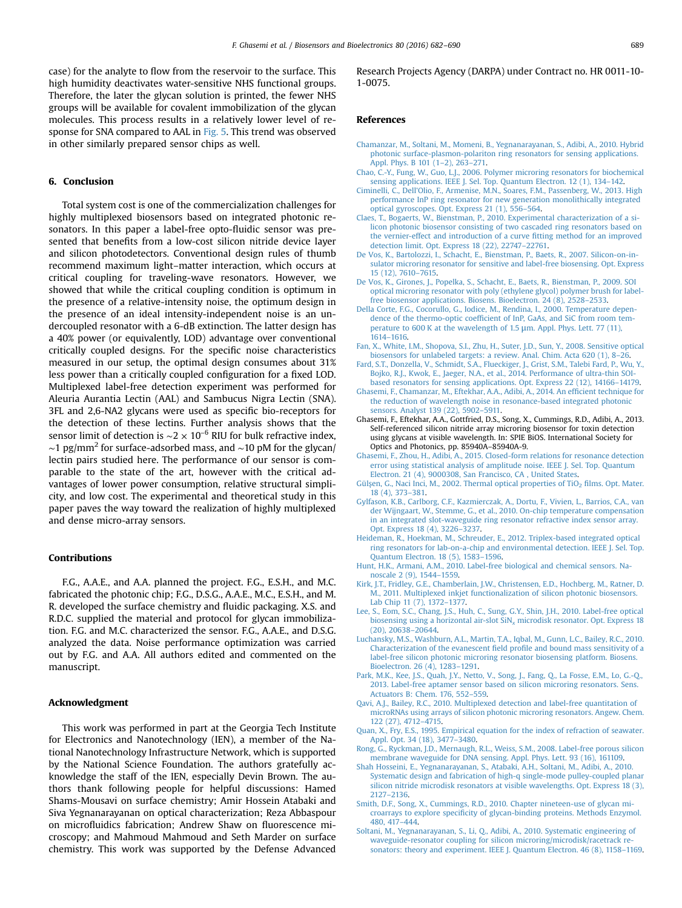<span id="page-7-0"></span>case) for the analyte to flow from the reservoir to the surface. This high humidity deactivates water-sensitive NHS functional groups. Therefore, the later the glycan solution is printed, the fewer NHS groups will be available for covalent immobilization of the glycan molecules. This process results in a relatively lower level of response for SNA compared to AAL in [Fig. 5.](#page-6-0) This trend was observed in other similarly prepared sensor chips as well.

## 6. Conclusion

Total system cost is one of the commercialization challenges for highly multiplexed biosensors based on integrated photonic resonators. In this paper a label-free opto-fluidic sensor was presented that benefits from a low-cost silicon nitride device layer and silicon photodetectors. Conventional design rules of thumb recommend maximum light–matter interaction, which occurs at critical coupling for traveling-wave resonators. However, we showed that while the critical coupling condition is optimum in the presence of a relative-intensity noise, the optimum design in the presence of an ideal intensity-independent noise is an undercoupled resonator with a 6-dB extinction. The latter design has a 40% power (or equivalently, LOD) advantage over conventional critically coupled designs. For the specific noise characteristics measured in our setup, the optimal design consumes about 31% less power than a critically coupled configuration for a fixed LOD. Multiplexed label-free detection experiment was performed for Aleuria Aurantia Lectin (AAL) and Sambucus Nigra Lectin (SNA). 3FL and 2,6-NA2 glycans were used as specific bio-receptors for the detection of these lectins. Further analysis shows that the sensor limit of detection is  $\sim$ 2 × 10<sup>-6</sup> RIU for bulk refractive index,  $\sim$ 1 pg/mm<sup>2</sup> for surface-adsorbed mass, and  $\sim$ 10 pM for the glycan/ lectin pairs studied here. The performance of our sensor is comparable to the state of the art, however with the critical advantages of lower power consumption, relative structural simplicity, and low cost. The experimental and theoretical study in this paper paves the way toward the realization of highly multiplexed and dense micro-array sensors.

## Contributions

F.G., A.A.E., and A.A. planned the project. F.G., E.S.H., and M.C. fabricated the photonic chip; F.G., D.S.G., A.A.E., M.C., E.S.H., and M. R. developed the surface chemistry and fluidic packaging. X.S. and R.D.C. supplied the material and protocol for glycan immobilization. F.G. and M.C. characterized the sensor. F.G., A.A.E., and D.S.G. analyzed the data. Noise performance optimization was carried out by F.G. and A.A. All authors edited and commented on the manuscript.

#### Acknowledgment

This work was performed in part at the Georgia Tech Institute for Electronics and Nanotechnology (IEN), a member of the National Nanotechnology Infrastructure Network, which is supported by the National Science Foundation. The authors gratefully acknowledge the staff of the IEN, especially Devin Brown. The authors thank following people for helpful discussions: Hamed Shams-Mousavi on surface chemistry; Amir Hossein Atabaki and Siva Yegnanarayanan on optical characterization; Reza Abbaspour on microfluidics fabrication; Andrew Shaw on fluorescence microscopy; and Mahmoud Mahmoud and Seth Marder on surface chemistry. This work was supported by the Defense Advanced Research Projects Agency (DARPA) under Contract no. HR 0011-10- 1-0075.

#### References

- [Chamanzar, M., Soltani, M., Momeni, B., Yegnanarayanan, S., Adibi, A., 2010. Hybrid](http://refhub.elsevier.com/S0956-5663(16)30051-3/sbref1) [photonic surface-plasmon-polariton ring resonators for sensing applications.](http://refhub.elsevier.com/S0956-5663(16)30051-3/sbref1) [Appl. Phys. B 101 \(1](http://refhub.elsevier.com/S0956-5663(16)30051-3/sbref1)–2), 263–271.
- [Chao, C.-Y., Fung, W., Guo, L.J., 2006. Polymer microring resonators for biochemical](http://refhub.elsevier.com/S0956-5663(16)30051-3/sbref2) [sensing applications. IEEE J. Sel. Top. Quantum Electron. 12 \(1\), 134](http://refhub.elsevier.com/S0956-5663(16)30051-3/sbref2)–142.
- [Ciminelli, C., Dell'Olio, F., Armenise, M.N., Soares, F.M., Passenberg, W., 2013. High](http://refhub.elsevier.com/S0956-5663(16)30051-3/sbref3) [performance InP ring resonator for new generation monolithically integrated](http://refhub.elsevier.com/S0956-5663(16)30051-3/sbref3) [optical gyroscopes. Opt. Express 21 \(1\), 556](http://refhub.elsevier.com/S0956-5663(16)30051-3/sbref3)–564.
- [Claes, T., Bogaerts, W., Bienstman, P., 2010. Experimental characterization of a si](http://refhub.elsevier.com/S0956-5663(16)30051-3/sbref4)[licon photonic biosensor consisting of two cascaded ring resonators based on](http://refhub.elsevier.com/S0956-5663(16)30051-3/sbref4) [the vernier-effect and introduction of a curve](http://refhub.elsevier.com/S0956-5663(16)30051-3/sbref4) fitting method for an improved [detection limit. Opt. Express 18 \(22\), 22747](http://refhub.elsevier.com/S0956-5663(16)30051-3/sbref4)–22761.
- [De Vos, K., Bartolozzi, I., Schacht, E., Bienstman, P., Baets, R., 2007. Silicon-on-in](http://refhub.elsevier.com/S0956-5663(16)30051-3/sbref5)[sulator microring resonator for sensitive and label-free biosensing. Opt. Express](http://refhub.elsevier.com/S0956-5663(16)30051-3/sbref5) [15 \(12\), 7610](http://refhub.elsevier.com/S0956-5663(16)30051-3/sbref5)–7615.
- [De Vos, K., Girones, J., Popelka, S., Schacht, E., Baets, R., Bienstman, P., 2009. SOI](http://refhub.elsevier.com/S0956-5663(16)30051-3/sbref6) [optical microring resonator with poly \(ethylene glycol\) polymer brush for label](http://refhub.elsevier.com/S0956-5663(16)30051-3/sbref6)[free biosensor applications. Biosens. Bioelectron. 24 \(8\), 2528](http://refhub.elsevier.com/S0956-5663(16)30051-3/sbref6)–2533.
- [Della Corte, F.G., Cocorullo, G., Iodice, M., Rendina, I., 2000. Temperature depen](http://refhub.elsevier.com/S0956-5663(16)30051-3/sbref7)dence of the thermo-optic coeffi[cient of InP, GaAs, and SiC from room tem](http://refhub.elsevier.com/S0956-5663(16)30051-3/sbref7)[perature to 600 K at the wavelength of 1.5](http://refhub.elsevier.com/S0956-5663(16)30051-3/sbref7) [μ](http://refhub.elsevier.com/S0956-5663(16)30051-3/sbref7)[m. Appl. Phys. Lett. 77 \(11\),](http://refhub.elsevier.com/S0956-5663(16)30051-3/sbref7) [1614](http://refhub.elsevier.com/S0956-5663(16)30051-3/sbref7)–[1616.](http://refhub.elsevier.com/S0956-5663(16)30051-3/sbref7)
- [Fan, X., White, I.M., Shopova, S.I., Zhu, H., Suter, J.D., Sun, Y., 2008. Sensitive optical](http://refhub.elsevier.com/S0956-5663(16)30051-3/sbref8) [biosensors for unlabeled targets: a review. Anal. Chim. Acta 620 \(1\), 8](http://refhub.elsevier.com/S0956-5663(16)30051-3/sbref8)–26.
- [Fard, S.T., Donzella, V., Schmidt, S.A., Flueckiger, J., Grist, S.M., Talebi Fard, P., Wu, Y.,](http://refhub.elsevier.com/S0956-5663(16)30051-3/sbref9) [Bojko, R.J., Kwok, E., Jaeger, N.A., et al., 2014. Performance of ultra-thin SOI](http://refhub.elsevier.com/S0956-5663(16)30051-3/sbref9)[based resonators for sensing applications. Opt. Express 22 \(12\), 14166](http://refhub.elsevier.com/S0956-5663(16)30051-3/sbref9)–14179.
- [Ghasemi, F., Chamanzar, M., Eftekhar, A.A., Adibi, A., 2014. An ef](http://refhub.elsevier.com/S0956-5663(16)30051-3/sbref10)ficient technique for [the reduction of wavelength noise in resonance-based integrated photonic](http://refhub.elsevier.com/S0956-5663(16)30051-3/sbref10) [sensors. Analyst 139 \(22\), 5902](http://refhub.elsevier.com/S0956-5663(16)30051-3/sbref10)–5911.
- Ghasemi, F., Eftekhar, A.A., Gottfried, D.S., Song, X., Cummings, R.D., Adibi, A., 2013. Self-referenced silicon nitride array microring biosensor for toxin detection using glycans at visible wavelength. In: SPIE BiOS. International Society for Optics and Photonics, pp. 85940A–85940A-9.
- [Ghasemi, F., Zhou, H., Adibi, A., 2015. Closed-form relations for resonance detection](http://refhub.elsevier.com/S0956-5663(16)30051-3/sbref12) [error using statistical analysis of amplitude noise. IEEE J. Sel. Top. Quantum](http://refhub.elsevier.com/S0956-5663(16)30051-3/sbref12) [Electron. 21 \(4\), 9000308, San Francisco, CA , United States.](http://refhub.elsevier.com/S0956-5663(16)30051-3/sbref12)
- Gülşen, G., Naci Inci, M., 2002. Thermal optical properties of TiO<sub>2</sub> fi[lms. Opt. Mater.](http://refhub.elsevier.com/S0956-5663(16)30051-3/sbref13) [18 \(4\), 373](http://refhub.elsevier.com/S0956-5663(16)30051-3/sbref13)–381.
- [Gylfason, K.B., Carlborg, C.F., Kazmierczak, A., Dortu, F., Vivien, L., Barrios, C.A., van](http://refhub.elsevier.com/S0956-5663(16)30051-3/sbref14) [der Wijngaart, W., Stemme, G., et al., 2010. On-chip temperature compensation](http://refhub.elsevier.com/S0956-5663(16)30051-3/sbref14) [in an integrated slot-waveguide ring resonator refractive index sensor array.](http://refhub.elsevier.com/S0956-5663(16)30051-3/sbref14) [Opt. Express 18 \(4\), 3226](http://refhub.elsevier.com/S0956-5663(16)30051-3/sbref14)–3237.
- [Heideman, R., Hoekman, M., Schreuder, E., 2012. Triplex-based integrated optical](http://refhub.elsevier.com/S0956-5663(16)30051-3/sbref15) [ring resonators for lab-on-a-chip and environmental detection. IEEE J. Sel. Top.](http://refhub.elsevier.com/S0956-5663(16)30051-3/sbref15) [Quantum Electron. 18 \(5\), 1583](http://refhub.elsevier.com/S0956-5663(16)30051-3/sbref15)–1596.
- [Hunt, H.K., Armani, A.M., 2010. Label-free biological and chemical sensors. Na](http://refhub.elsevier.com/S0956-5663(16)30051-3/sbref16)[noscale 2 \(9\), 1544](http://refhub.elsevier.com/S0956-5663(16)30051-3/sbref16)–1559.
- [Kirk, J.T., Fridley, G.E., Chamberlain, J.W., Christensen, E.D., Hochberg, M., Ratner, D.](http://refhub.elsevier.com/S0956-5663(16)30051-3/sbref17) [M., 2011. Multiplexed inkjet functionalization of silicon photonic biosensors.](http://refhub.elsevier.com/S0956-5663(16)30051-3/sbref17) [Lab Chip 11 \(7\), 1372](http://refhub.elsevier.com/S0956-5663(16)30051-3/sbref17)–1377.
- [Lee, S., Eom, S.C., Chang, J.S., Huh, C., Sung, G.Y., Shin, J.H., 2010. Label-free optical](http://refhub.elsevier.com/S0956-5663(16)30051-3/sbref18) biosensing using a horizontal air-slot  $\sin x$  [microdisk resonator. Opt. Express 18](http://refhub.elsevier.com/S0956-5663(16)30051-3/sbref18) [\(20\), 20638](http://refhub.elsevier.com/S0956-5663(16)30051-3/sbref18)–20644.
- [Luchansky, M.S., Washburn, A.L., Martin, T.A., Iqbal, M., Gunn, L.C., Bailey, R.C., 2010.](http://refhub.elsevier.com/S0956-5663(16)30051-3/sbref19) [Characterization of the evanescent](http://refhub.elsevier.com/S0956-5663(16)30051-3/sbref19) field profile and bound mass sensitivity of a [label-free silicon photonic microring resonator biosensing platform. Biosens.](http://refhub.elsevier.com/S0956-5663(16)30051-3/sbref19) [Bioelectron. 26 \(4\), 1283](http://refhub.elsevier.com/S0956-5663(16)30051-3/sbref19)–1291.
- [Park, M.K., Kee, J.S., Quah, J.Y., Netto, V., Song, J., Fang, Q., La Fosse, E.M., Lo, G.-Q.,](http://refhub.elsevier.com/S0956-5663(16)30051-3/sbref20) [2013. Label-free aptamer sensor based on silicon microring resonators. Sens.](http://refhub.elsevier.com/S0956-5663(16)30051-3/sbref20) [Actuators B: Chem. 176, 552](http://refhub.elsevier.com/S0956-5663(16)30051-3/sbref20)–559.
- [Qavi, A.J., Bailey, R.C., 2010. Multiplexed detection and label-free quantitation of](http://refhub.elsevier.com/S0956-5663(16)30051-3/sbref21) [microRNAs using arrays of silicon photonic microring resonators. Angew. Chem.](http://refhub.elsevier.com/S0956-5663(16)30051-3/sbref21) [122 \(27\), 4712](http://refhub.elsevier.com/S0956-5663(16)30051-3/sbref21)–4715.
- [Quan, X., Fry, E.S., 1995. Empirical equation for the index of refraction of seawater.](http://refhub.elsevier.com/S0956-5663(16)30051-3/sbref22) [Appl. Opt. 34 \(18\), 3477](http://refhub.elsevier.com/S0956-5663(16)30051-3/sbref22)–3480.
- [Rong, G., Ryckman, J.D., Mernaugh, R.L., Weiss, S.M., 2008. Label-free porous silicon](http://refhub.elsevier.com/S0956-5663(16)30051-3/sbref23) [membrane waveguide for DNA sensing. Appl. Phys. Lett. 93 \(16\), 161109.](http://refhub.elsevier.com/S0956-5663(16)30051-3/sbref23)
- [Shah Hosseini, E., Yegnanarayanan, S., Atabaki, A.H., Soltani, M., Adibi, A., 2010.](http://refhub.elsevier.com/S0956-5663(16)30051-3/sbref24) [Systematic design and fabrication of high-q single-mode pulley-coupled planar](http://refhub.elsevier.com/S0956-5663(16)30051-3/sbref24) [silicon nitride microdisk resonators at visible wavelengths. Opt. Express 18 \(3\),](http://refhub.elsevier.com/S0956-5663(16)30051-3/sbref24) [2127](http://refhub.elsevier.com/S0956-5663(16)30051-3/sbref24)–[2136.](http://refhub.elsevier.com/S0956-5663(16)30051-3/sbref24)
- [Smith, D.F., Song, X., Cummings, R.D., 2010. Chapter nineteen-use of glycan mi](http://refhub.elsevier.com/S0956-5663(16)30051-3/sbref25)croarrays to explore specifi[city of glycan-binding proteins. Methods Enzymol.](http://refhub.elsevier.com/S0956-5663(16)30051-3/sbref25) [480, 417](http://refhub.elsevier.com/S0956-5663(16)30051-3/sbref25)–444.
- [Soltani, M., Yegnanarayanan, S., Li, Q., Adibi, A., 2010. Systematic engineering of](http://refhub.elsevier.com/S0956-5663(16)30051-3/sbref26) [waveguide-resonator coupling for silicon microring/microdisk/racetrack re](http://refhub.elsevier.com/S0956-5663(16)30051-3/sbref26)[sonators: theory and experiment. IEEE J. Quantum Electron. 46 \(8\), 1158](http://refhub.elsevier.com/S0956-5663(16)30051-3/sbref26)–1169.